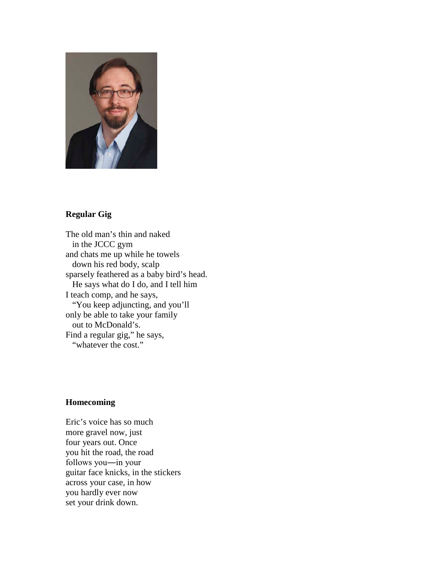

# **Regular Gig**

The old man's thin and naked in the JCCC gym and chats me up while he towels down his red body, scalp sparsely feathered as a baby bird's head. He says what do I do, and I tell him I teach comp, and he says, "You keep adjuncting, and you'll only be able to take your family out to McDonald's. Find a regular gig," he says, "whatever the cost."

## **Homecoming**

Eric's voice has so much more gravel now, just four years out. Once you hit the road, the road follows you―in your guitar face knicks, in the stickers across your case, in how you hardly ever now set your drink down.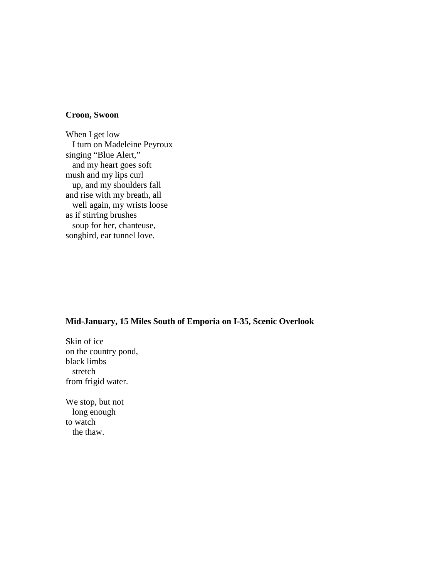#### **Croon, Swoon**

When I get low I turn on Madeleine Peyroux singing "Blue Alert," and my heart goes soft mush and my lips curl up, and my shoulders fall and rise with my breath, all well again, my wrists loose as if stirring brushes soup for her, chanteuse, songbird, ear tunnel love.

## **Mid-January, 15 Miles South of Emporia on I-35, Scenic Overlook**

Skin of ice on the country pond, black limbs stretch from frigid water.

We stop, but not long enough to watch the thaw.